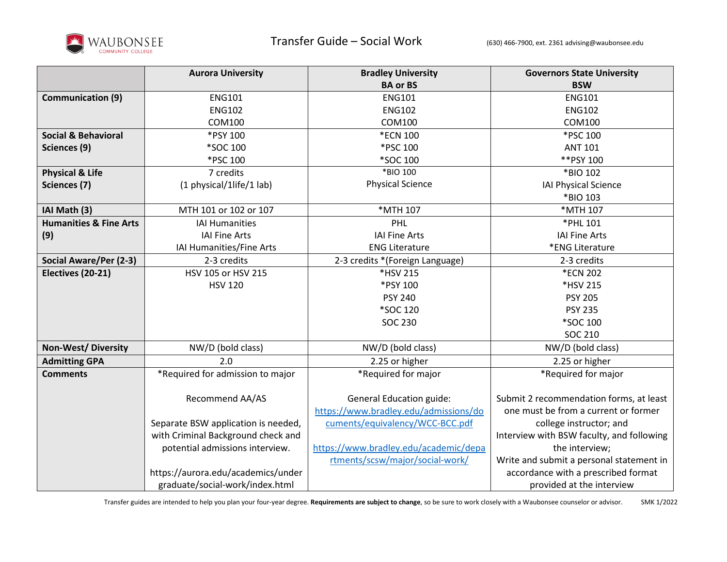

|                                   | <b>Aurora University</b>            | <b>Bradley University</b>             | <b>Governors State University</b>         |
|-----------------------------------|-------------------------------------|---------------------------------------|-------------------------------------------|
|                                   |                                     | <b>BA or BS</b>                       | <b>BSW</b>                                |
| <b>Communication (9)</b>          | <b>ENG101</b>                       | <b>ENG101</b>                         | <b>ENG101</b>                             |
|                                   | <b>ENG102</b>                       | <b>ENG102</b>                         | <b>ENG102</b>                             |
|                                   | COM100                              | <b>COM100</b>                         | <b>COM100</b>                             |
| <b>Social &amp; Behavioral</b>    | *PSY 100                            | *ECN 100                              | *PSC 100                                  |
| Sciences (9)                      | *SOC 100                            | *PSC 100                              | <b>ANT 101</b>                            |
|                                   | *PSC 100                            | *SOC 100                              | ** PSY 100                                |
| <b>Physical &amp; Life</b>        | 7 credits                           | *BIO 100                              | *BIO 102                                  |
| Sciences (7)                      | (1 physical/1life/1 lab)            | <b>Physical Science</b>               | <b>IAI Physical Science</b>               |
|                                   |                                     |                                       | *BIO 103                                  |
| IAI Math (3)                      | MTH 101 or 102 or 107               | *MTH 107                              | *MTH 107                                  |
| <b>Humanities &amp; Fine Arts</b> | <b>IAI Humanities</b>               | PHL                                   | *PHL 101                                  |
| (9)                               | <b>IAI Fine Arts</b>                | <b>IAI Fine Arts</b>                  | <b>IAI Fine Arts</b>                      |
|                                   | IAI Humanities/Fine Arts            | <b>ENG Literature</b>                 | *ENG Literature                           |
| Social Aware/Per (2-3)            | 2-3 credits                         | 2-3 credits *(Foreign Language)       | 2-3 credits                               |
| Electives (20-21)                 | HSV 105 or HSV 215                  | *HSV 215                              | *ECN 202                                  |
|                                   | <b>HSV 120</b>                      | *PSY 100                              | *HSV 215                                  |
|                                   |                                     | <b>PSY 240</b>                        | <b>PSY 205</b>                            |
|                                   |                                     | *SOC 120                              | <b>PSY 235</b>                            |
|                                   |                                     | <b>SOC 230</b>                        | *SOC 100                                  |
|                                   |                                     |                                       | SOC 210                                   |
| <b>Non-West/Diversity</b>         | NW/D (bold class)                   | NW/D (bold class)                     | NW/D (bold class)                         |
| <b>Admitting GPA</b>              | 2.0                                 | 2.25 or higher                        | 2.25 or higher                            |
| <b>Comments</b>                   | *Required for admission to major    | *Required for major                   | *Required for major                       |
|                                   |                                     |                                       |                                           |
|                                   | Recommend AA/AS                     | <b>General Education guide:</b>       | Submit 2 recommendation forms, at least   |
|                                   |                                     | https://www.bradley.edu/admissions/do | one must be from a current or former      |
|                                   | Separate BSW application is needed, | cuments/equivalency/WCC-BCC.pdf       | college instructor; and                   |
|                                   | with Criminal Background check and  |                                       | Interview with BSW faculty, and following |
|                                   | potential admissions interview.     | https://www.bradley.edu/academic/depa | the interview;                            |
|                                   |                                     | rtments/scsw/major/social-work/       | Write and submit a personal statement in  |
|                                   | https://aurora.edu/academics/under  |                                       | accordance with a prescribed format       |
|                                   | graduate/social-work/index.html     |                                       | provided at the interview                 |

Transfer guides are intended to help you plan your four-year degree. **Requirements are subject to change**, so be sure to work closely with a Waubonsee counselor or advisor. SMK 1/2022